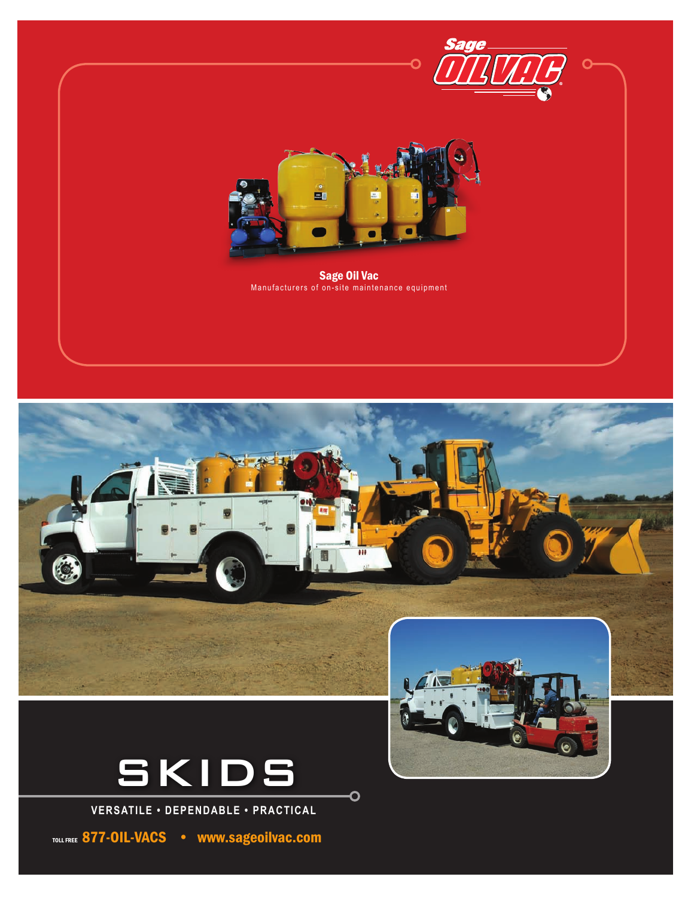



 $\overline{\mathbf{C}}$ 



**VERSATILE • DEPENDABLE • PRACTICAL**

TOLL FREE 877-OIL-VACS . www.sageoilvac.com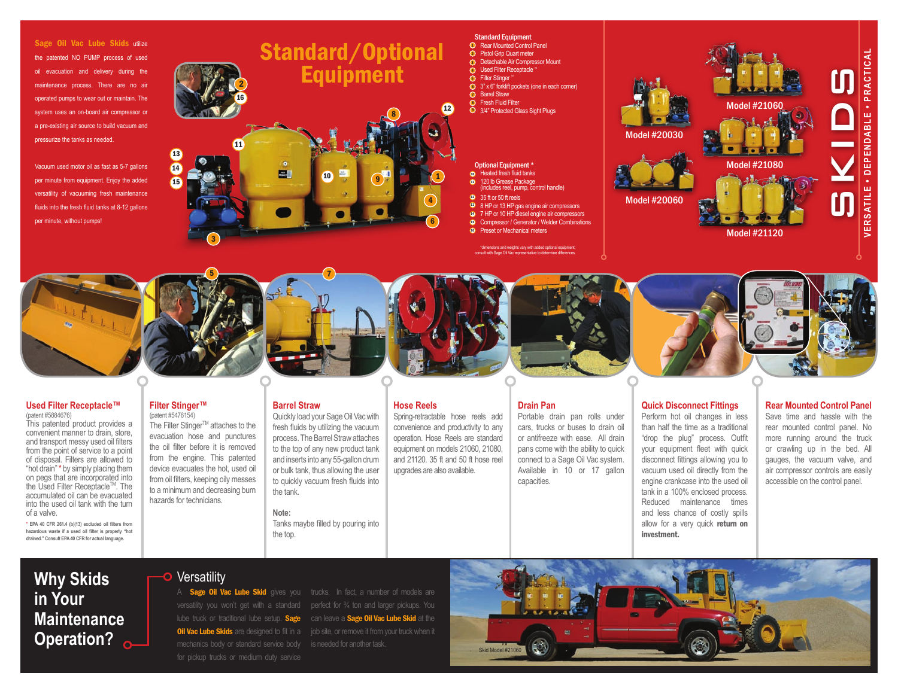Sage Oil Vac Lube Skids utilize the patented NO PUMP process of used oil evacuation and delivery during the maintenance process. There are no air operated pumps to wear out or maintain. The system uses an on-board air compressor or a pre-existing air source to build vacuum and pressurize the tanks as needed.

Vacuum used motor oil as fast as 5-7 gallons per minute from equipment. Enjoy the added versatility of vacuuming fresh maintenance fluids into the fresh fluid tanks at 8-12 gallons per minute, without pumps!

# Standard/Optional **Equipment** 2 16 12 8 11 13  $\overline{14}$ **ER** 10

# **Standard Equipment**<br>**D** Rear Mounted Control Panel

- 
- **2** Pistol Grip Quart meter
- **3** Detachable Air Compressor Mount
- **4** Used Filter Receptacle <sup>\*\*</sup> **5** Filter Stinger
- **3**" x 6" forklift pockets (one in each corner)
- **Barrel Straw**
- **B** Fresh Fluid Filter
- **9** 3/4" Protected Glass Sight Plugs

#### Optional Equipment \* **c** Heated fresh fluid tanks

- 120 lb Grease Package (includes reel, pump, control handle) 11 1) **C** 
	-
	- <sup>13</sup> 35 ft or 50 ft reels
	- <sup>89</sup> 8 HP or 13 HP gas engine air compressors **0** 7 HP or 10 HP diesel engine air compressors
	- Compressor / Generator / Welder Combinations 15
	- <sup>16</sup> Preset or Mechanical meters

isions and weights vary with added optional equ with Sage Oil Vac representative to determine diffe





#### **Used Filter Receptacle™**  (patent #5884676)

This patented product provides a convenient manner to drain, store, and transport messy used oil filters from the point of service to a point of disposal. Filters are allowed to "hot drain" \* by simply placing them on pegs that are incorporated into the Used Filter Receptacle™. The accumulated oil can be evacuated into the used oil tank with the turn of a valve.

\* **EPA 40 CFR 261.4 (b)(13) excluded oil filters from hazardous waste if a used oil filter is properly "hot drained." Consult EPA 40 CFR for actual language.**

**Filter Stinger™** (patent #5476154)

15

The Filter Stinger™ attaches to the evacuation hose and punctures the oil filter before it is removed from the engine. This patented device evacuates the hot, used oil from oil filters, keeping oily messes to a minimum and decreasing burn hazards for technicians.

3

5

## **Barrel Straw**

7

Quickly load your Sage Oil Vac with fresh fluids by utilizing the vacuum process. The Barrel Straw attaches to the top of any new product tank and inserts into any 55-gallon drum or bulk tank, thus allowing the user to quickly vacuum fresh fluids into the tank.

#### **Note:**

Tanks maybe filled by pouring into the top.

# **Hose Reels**

4

9

6

Spring-retractable hose reels add convenience and productivity to any operation. Hose Reels are standard equipment on models 21060, 21080, and 21120. 35 ft and 50 ft hose reel upgrades are also available.



#### **Drain Pan**

Portable drain pan rolls under cars, trucks or buses to drain oil or antifreeze with ease. All drain pans come with the ability to quick connect to a Sage Oil Vac system. Available in 10 or 17 gallon capacities.



# **Quick Disconnect Fittings**

Perform hot oil changes in less than half the time as a traditional "drop the plug" process. Outfit your equipment fleet with quick disconnect fittings allowing you to vacuum used oil directly from the engine crankcase into the used oil tank in a 100% enclosed process. Reduced maintenance times and less chance of costly spills allow for a very quick return on investment.

### **Rear Mounted Control Panel** Save time and hassle with the rear mounted control panel. No more running around the truck

or crawling up in the bed. All gauges, the vacuum valve, and air compressor controls are easily accessible on the control panel.

# **Why Skids Po** Versatility **in Your Maintenance**

**Operation?** Saint Channel Skits are designed to in this sight of standard service body is needed for another task. for pickup trucks or medium duty service

A Sage Oil Vac Lube Skid gives you trucks. In fact, a number of models are versatility you won't get with a standard perfect for 34 ton and larger pickups. You lube truck or traditional lube setup. Sage can leave a Sage Oil Vac Lube Skid at the **Oil Vac Lube Skids** are designed to fit in a job site, or remove it from your truck when it